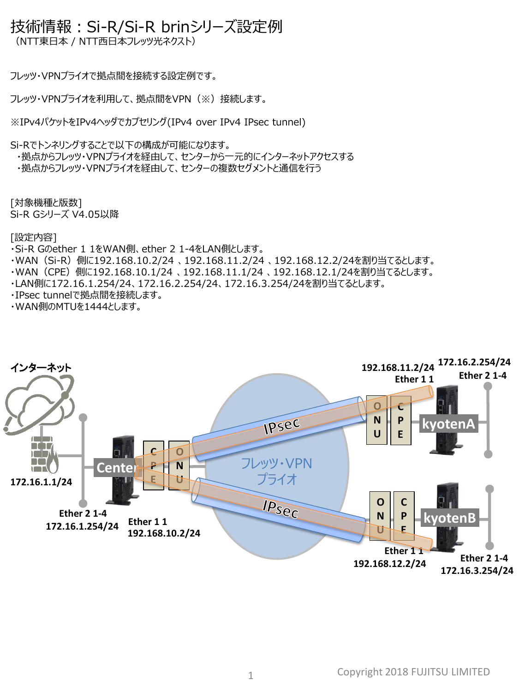## 技術情報:Si-R/Si-R brinシリーズ設定例

(NTT東日本 / NTT西日本フレッツ光ネクスト)

フレッツ・VPNプライオで拠点間を接続する設定例です。

フレッツ・VPNプライオを利用して、拠点間をVPN(※)接続します。

※IPv4パケットをIPv4ヘッダでカプセリング(IPv4 over IPv4 IPsec tunnel)

Si-Rでトンネリングすることで以下の構成が可能になります。

・拠点からフレッツ・VPNプライオを経由して、センターから一元的にインターネットアクセスする ・拠点からフレッツ・VPNプライオを経由して、センターの複数セグメントと通信を行う

[対象機種と版数] Si-R Gシリーズ V4.05以降

[設定内容]

- ・Si-R Gのether 1 1をWAN側、ether 2 1-4をLAN側とします。
- ・WAN(Si-R)側に192.168.10.2/24 、192.168.11.2/24 、192.168.12.2/24を割り当てるとします。
- ・WAN(CPE)側に192.168.10.1/24 、192.168.11.1/24 、192.168.12.1/24を割り当てるとします。
- ・LAN側に172.16.1.254/24、172.16.2.254/24、172.16.3.254/24を割り当てるとします。
- ・IPsec tunnelで拠点間を接続します。

・WAN側のMTUを1444とします。

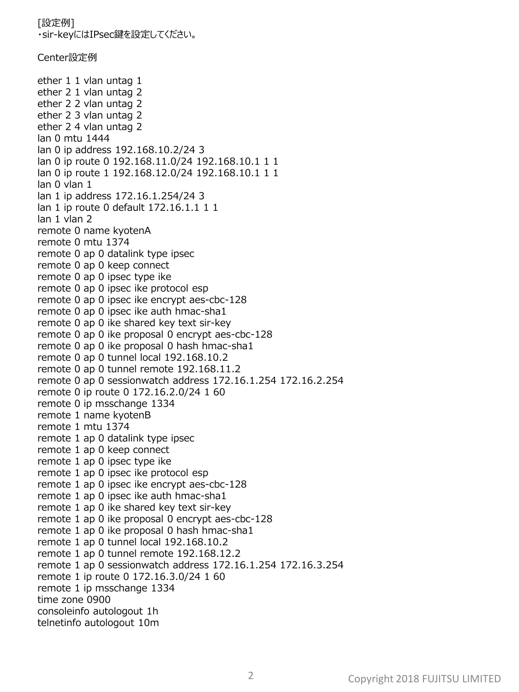[設定例] ・sir-keyにはIPsec鍵を設定してください。 Center設定例 ether 1 1 vlan untag 1 ether 2 1 vlan untag 2 ether 2 2 vlan untag 2 ether 2 3 vlan untag 2 ether 2 4 vlan untag 2 lan 0 mtu 1444 lan 0 ip address 192.168.10.2/24 3 lan 0 ip route 0 192.168.11.0/24 192.168.10.1 1 1 lan 0 ip route 1 192.168.12.0/24 192.168.10.1 1 1 lan 0 vlan 1 lan 1 ip address 172.16.1.254/24 3 lan 1 ip route 0 default 172.16.1.1 1 1 lan 1 vlan 2 remote 0 name kyotenA remote 0 mtu 1374 remote 0 ap 0 datalink type ipsec remote 0 ap 0 keep connect remote 0 ap 0 ipsec type ike remote 0 ap 0 ipsec ike protocol esp remote 0 ap 0 ipsec ike encrypt aes-cbc-128 remote 0 ap 0 ipsec ike auth hmac-sha1 remote 0 ap 0 ike shared key text sir-key remote 0 ap 0 ike proposal 0 encrypt aes-cbc-128 remote 0 ap 0 ike proposal 0 hash hmac-sha1 remote 0 ap 0 tunnel local 192.168.10.2 remote 0 ap 0 tunnel remote 192.168.11.2 remote 0 ap 0 sessionwatch address 172.16.1.254 172.16.2.254 remote 0 ip route 0 172.16.2.0/24 1 60 remote 0 ip msschange 1334 remote 1 name kyotenB remote 1 mtu 1374 remote 1 ap 0 datalink type ipsec remote 1 ap 0 keep connect remote 1 ap 0 ipsec type ike remote 1 ap 0 ipsec ike protocol esp remote 1 ap 0 ipsec ike encrypt aes-cbc-128 remote 1 ap 0 ipsec ike auth hmac-sha1 remote 1 ap 0 ike shared key text sir-key remote 1 ap 0 ike proposal 0 encrypt aes-cbc-128 remote 1 ap 0 ike proposal 0 hash hmac-sha1 remote 1 ap 0 tunnel local 192.168.10.2 remote 1 ap 0 tunnel remote 192.168.12.2 remote 1 ap 0 sessionwatch address 172.16.1.254 172.16.3.254 remote 1 ip route 0 172.16.3.0/24 1 60 remote 1 ip msschange 1334 time zone 0900 consoleinfo autologout 1h telnetinfo autologout 10m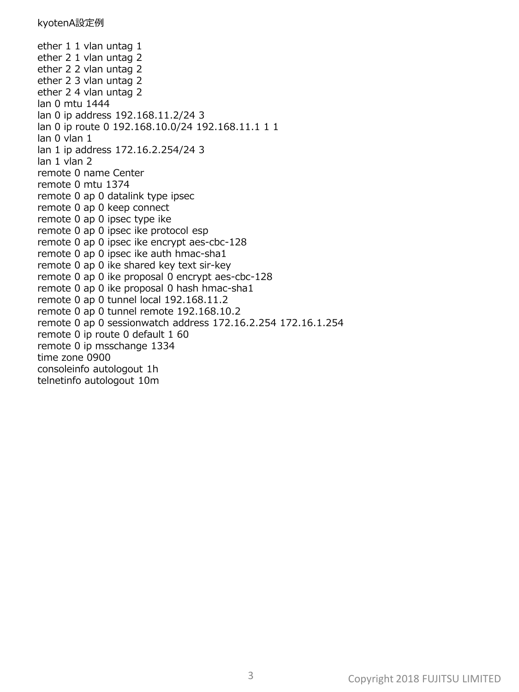ether 1 1 vlan untag 1 ether 2 1 vlan untag 2 ether 2 2 vlan untag 2 ether 2 3 vlan untag 2 ether 2 4 vlan untag 2 lan 0 mtu 1444 lan 0 ip address 192.168.11.2/24 3 lan 0 ip route 0 192.168.10.0/24 192.168.11.1 1 1 lan 0 vlan 1 lan 1 ip address 172.16.2.254/24 3 lan 1 vlan 2 remote 0 name Center remote 0 mtu 1374 remote 0 ap 0 datalink type ipsec remote 0 ap 0 keep connect remote 0 ap 0 ipsec type ike remote 0 ap 0 ipsec ike protocol esp remote 0 ap 0 ipsec ike encrypt aes-cbc-128 remote 0 ap 0 ipsec ike auth hmac-sha1 remote 0 ap 0 ike shared key text sir-key remote 0 ap 0 ike proposal 0 encrypt aes-cbc-128 remote 0 ap 0 ike proposal 0 hash hmac-sha1 remote 0 ap 0 tunnel local 192.168.11.2 remote 0 ap 0 tunnel remote 192.168.10.2 remote 0 ap 0 sessionwatch address 172.16.2.254 172.16.1.254 remote 0 ip route 0 default 1 60 remote 0 ip msschange 1334 time zone 0900 consoleinfo autologout 1h telnetinfo autologout 10m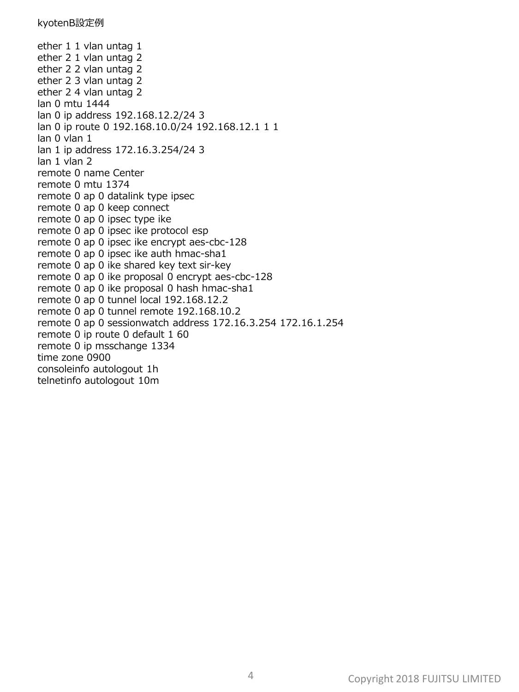ether 1 1 vlan untag 1 ether 2 1 vlan untag 2 ether 2 2 vlan untag 2 ether 2 3 vlan untag 2 ether 2 4 vlan untag 2 lan 0 mtu 1444 lan 0 ip address 192.168.12.2/24 3 lan 0 ip route 0 192.168.10.0/24 192.168.12.1 1 1 lan 0 vlan 1 lan 1 ip address 172.16.3.254/24 3 lan 1 vlan 2 remote 0 name Center remote 0 mtu 1374 remote 0 ap 0 datalink type ipsec remote 0 ap 0 keep connect remote 0 ap 0 ipsec type ike remote 0 ap 0 ipsec ike protocol esp remote 0 ap 0 ipsec ike encrypt aes-cbc-128 remote 0 ap 0 ipsec ike auth hmac-sha1 remote 0 ap 0 ike shared key text sir-key remote 0 ap 0 ike proposal 0 encrypt aes-cbc-128 remote 0 ap 0 ike proposal 0 hash hmac-sha1 remote 0 ap 0 tunnel local 192.168.12.2 remote 0 ap 0 tunnel remote 192.168.10.2 remote 0 ap 0 sessionwatch address 172.16.3.254 172.16.1.254 remote 0 ip route 0 default 1 60 remote 0 ip msschange 1334 time zone 0900 consoleinfo autologout 1h telnetinfo autologout 10m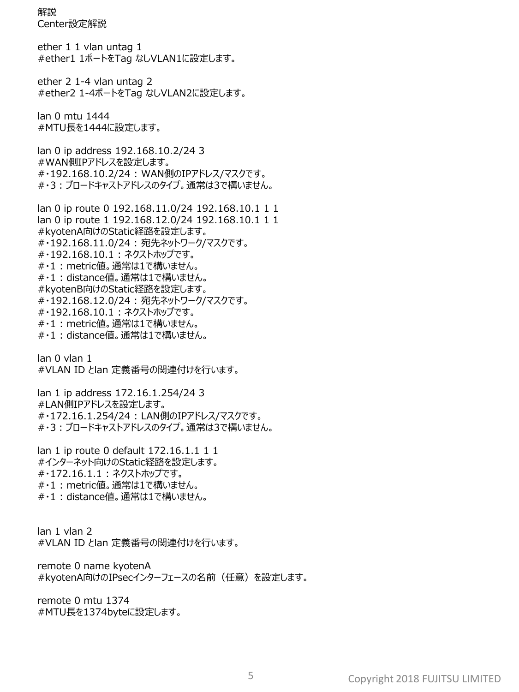解説 Center設定解説

ether 1 1 vlan untag 1 #ether1 1ポートをTag なしVLAN1に設定します。

ether 2 1-4 vlan untag 2 #ether2 1-4ポートをTag なしVLAN2に設定します。

lan 0 mtu 1444 #MTU長を1444に設定します。

lan 0 ip address 192.168.10.2/24 3 #WAN側IPアドレスを設定します。 #・192.168.10.2/24 : WAN側のIPアドレス/マスクです。 #・3:ブロードキャストアドレスのタイプ。通常は3で構いません。

lan 0 ip route 0 192.168.11.0/24 192.168.10.1 1 1 lan 0 ip route 1 192.168.12.0/24 192.168.10.1 1 1 #kyotenA向けのStatic経路を設定します。 #・192.168.11.0/24 : 宛先ネットワーク/マスクです。 #・192.168.10.1 : ネクストホップです。 #・1 : metric値。通常は1で構いません。 #・1 : distance値。通常は1で構いません。 #kyotenB向けのStatic経路を設定します。 #・192.168.12.0/24 : 宛先ネットワーク/マスクです。 #・192.168.10.1 : ネクストホップです。 #・1 : metric値。通常は1で構いません。 #・1 : distance値。通常は1で構いません。

lan 0 vlan 1 #VLAN ID とlan 定義番号の関連付けを行います。

lan 1 ip address 172.16.1.254/24 3 #LAN側IPアドレスを設定します。 #・172.16.1.254/24 : LAN側のIPアドレス/マスクです。 #・3:ブロードキャストアドレスのタイプ。通常は3で構いません。

lan 1 ip route 0 default 172.16.1.1 1 1 #インターネット向けのStatic経路を設定します。 #・172.16.1.1 : ネクストホップです。 #・1 : metric値。通常は1で構いません。 #・1 : distance値。通常は1で構いません。

lan 1 vlan 2 #VLAN ID とlan 定義番号の関連付けを行います。

remote 0 name kyotenA #kyotenA向けのIPsecインターフェースの名前 (任意)を設定します。

remote 0 mtu 1374 #MTU長を1374byteに設定します。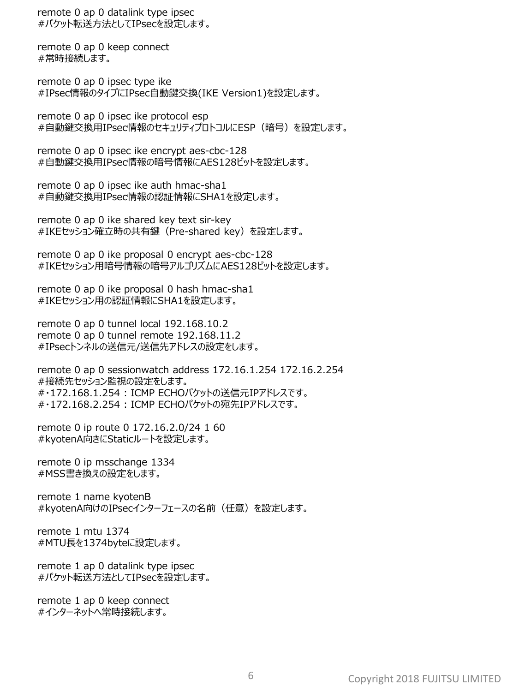remote 0 ap 0 datalink type ipsec #パケット転送方法としてIPsecを設定します。

remote 0 ap 0 keep connect #常時接続します。

remote 0 ap 0 ipsec type ike #IPsec情報のタイプにIPsec自動鍵交換(IKE Version1)を設定します。

remote 0 ap 0 ipsec ike protocol esp #自動鍵交換用IPsec情報のセキュリティプロトコルにESP(暗号)を設定します。

remote 0 ap 0 ipsec ike encrypt aes-cbc-128 #自動鍵交換用IPsec情報の暗号情報にAES128ビットを設定します。

remote 0 ap 0 ipsec ike auth hmac-sha1 #自動鍵交換用IPsec情報の認証情報にSHA1を設定します。

remote 0 ap 0 ike shared key text sir-key #IKEセッション確立時の共有鍵(Pre-shared key)を設定します。

remote 0 ap 0 ike proposal 0 encrypt aes-cbc-128 #IKEセッション用暗号情報の暗号アルゴリズムにAES128ビットを設定します。

remote 0 ap 0 ike proposal 0 hash hmac-sha1 #IKEセッション用の認証情報にSHA1を設定します。

remote 0 ap 0 tunnel local 192.168.10.2 remote 0 ap 0 tunnel remote 192.168.11.2 #IPsecトンネルの送信元/送信先アドレスの設定をします。

remote 0 ap 0 sessionwatch address 172.16.1.254 172.16.2.254 #接続先セッション監視の設定をします。 #・172.168.1.254 : ICMP ECHOパケットの送信元IPアドレスです。 #・172.168.2.254 : ICMP ECHOパケットの宛先IPアドレスです。

remote 0 ip route 0 172.16.2.0/24 1 60 #kyotenA向きにStaticルートを設定します。

remote 0 ip msschange 1334 #MSS書き換えの設定をします。

remote 1 name kyotenB #kyotenA向けのIPsecインターフェースの名前(任意)を設定します。

remote 1 mtu 1374 #MTU長を1374byteに設定します。

remote 1 ap 0 datalink type ipsec #パケット転送方法としてIPsecを設定します。

remote 1 ap 0 keep connect #インターネットへ常時接続します。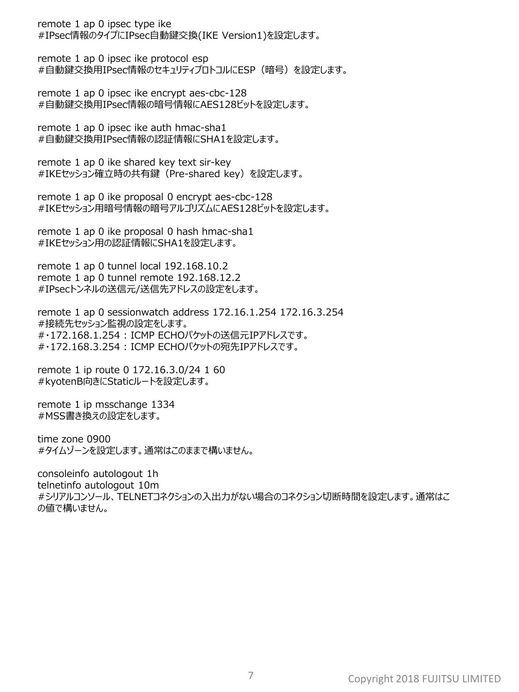remote 1 ap 0 ipsec type ike #IPsec情報のタイプにIPsec自動鍵交換(IKE Version1)を設定します。

remote 1 ap 0 ipsec ike protocol esp #自動鍵交換用IPsec情報のセキュリティプロトコルにESP(暗号)を設定します。

remote 1 ap 0 ipsec ike encrypt aes-cbc-128 #自動鍵交換用IPsec情報の暗号情報にAES128ビットを設定します。

remote 1 ap 0 ipsec ike auth hmac-sha1 #自動鍵交換用IPsec情報の認証情報にSHA1を設定します。

remote 1 ap 0 ike shared key text sir-key #IKEセッション確立時の共有鍵(Pre-shared key)を設定します。

remote 1 ap 0 ike proposal 0 encrypt aes-cbc-128 #IKEセッション用暗号情報の暗号アルゴリズムにAES128ビットを設定します。

remote 1 ap 0 ike proposal 0 hash hmac-sha1 #IKEセッション用の認証情報にSHA1を設定します。

remote 1 ap 0 tunnel local 192.168.10.2 remote 1 ap 0 tunnel remote 192.168.12.2 #IPsecトンネルの送信元/送信先アドレスの設定をします。

remote 1 ap 0 sessionwatch address 172.16.1.254 172.16.3.254 #接続先セッション監視の設定をします。 #・172.168.1.254 : ICMP ECHOパケットの送信元IPアドレスです。 #・172.168.3.254 : ICMP ECHOパケットの宛先IPアドレスです。

remote 1 ip route 0 172.16.3.0/24 1 60 #kyotenB向きにStaticルートを設定します。

remote 1 ip msschange 1334 #MSS書き換えの設定をします。

time zone 0900 #タイムゾーンを設定します。通常はこのままで構いません。

consoleinfo autologout 1h telnetinfo autologout 10m #シリアルコンソール、TELNETコネクションの入出力がない場合のコネクション切断時間を設定します。通常はこ の値で構いません。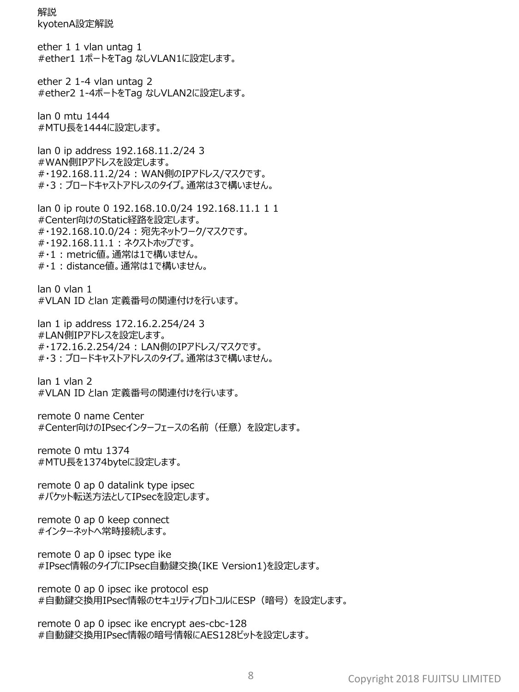解説 kyotenA設定解説

ether 1 1 vlan untag 1 #ether1 1ポートをTag なしVLAN1に設定します。

ether 2 1-4 vlan untag 2 #ether2 1-4ポートをTag なしVLAN2に設定します。

lan 0 mtu 1444 #MTU長を1444に設定します。

lan 0 ip address 192.168.11.2/24 3 #WAN側IPアドレスを設定します。 #・192.168.11.2/24 : WAN側のIPアドレス/マスクです。 #・3:ブロードキャストアドレスのタイプ。通常は3で構いません。

lan 0 ip route 0 192.168.10.0/24 192.168.11.1 1 1 #Center向けのStatic経路を設定します。 #・192.168.10.0/24 : 宛先ネットワーク/マスクです。 #・192.168.11.1 : ネクストホップです。 #・1 : metric値。通常は1で構いません。 #・1 : distance値。通常は1で構いません。

lan 0 vlan 1 #VLAN ID とlan 定義番号の関連付けを行います。

lan 1 ip address 172.16.2.254/24 3 #LAN側IPアドレスを設定します。 #・172.16.2.254/24 : LAN側のIPアドレス/マスクです。 #・3:ブロードキャストアドレスのタイプ。通常は3で構いません。

lan 1 vlan 2 #VLAN ID とlan 定義番号の関連付けを行います。

remote 0 name Center #Center向けのIPsecインターフェースの名前 (任意) を設定します。

remote 0 mtu 1374 #MTU長を1374byteに設定します。

remote 0 ap 0 datalink type ipsec #パケット転送方法としてIPsecを設定します。

remote 0 ap 0 keep connect #インターネットへ常時接続します。

remote 0 ap 0 ipsec type ike #IPsec情報のタイプにIPsec自動鍵交換(IKE Version1)を設定します。

remote 0 ap 0 ipsec ike protocol esp #自動鍵交換用IPsec情報のセキュリティプロトコルにESP(暗号)を設定します。

remote 0 ap 0 ipsec ike encrypt aes-cbc-128 #自動鍵交換用IPsec情報の暗号情報にAES128ビットを設定します。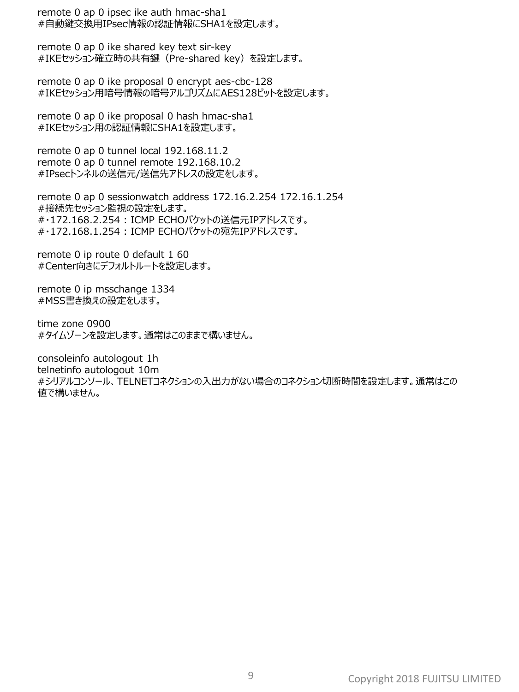remote 0 ap 0 ipsec ike auth hmac-sha1 #自動鍵交換用IPsec情報の認証情報にSHA1を設定します。

remote 0 ap 0 ike shared key text sir-key #IKEセッション確立時の共有鍵(Pre-shared key)を設定します。

remote 0 ap 0 ike proposal 0 encrypt aes-cbc-128 #IKEセッション用暗号情報の暗号アルゴリズムにAES128ビットを設定します。

remote 0 ap 0 ike proposal 0 hash hmac-sha1 #IKEセッション用の認証情報にSHA1を設定します。

remote 0 ap 0 tunnel local 192.168.11.2 remote 0 ap 0 tunnel remote 192.168.10.2 #IPsecトンネルの送信元/送信先アドレスの設定をします。

remote 0 ap 0 sessionwatch address 172.16.2.254 172.16.1.254 #接続先セッション監視の設定をします。 #・172.168.2.254 : ICMP ECHOパケットの送信元IPアドレスです。 #・172.168.1.254 : ICMP ECHOパケットの宛先IPアドレスです。

remote 0 ip route 0 default 1 60 #Center向きにデフォルトルートを設定します。

remote 0 ip msschange 1334 #MSS書き換えの設定をします。

time zone 0900 #タイムゾーンを設定します。通常はこのままで構いません。

consoleinfo autologout 1h telnetinfo autologout 10m #シリアルコンソール、TELNETコネクションの入出力がない場合のコネクション切断時間を設定します。通常はこの 値で構いません。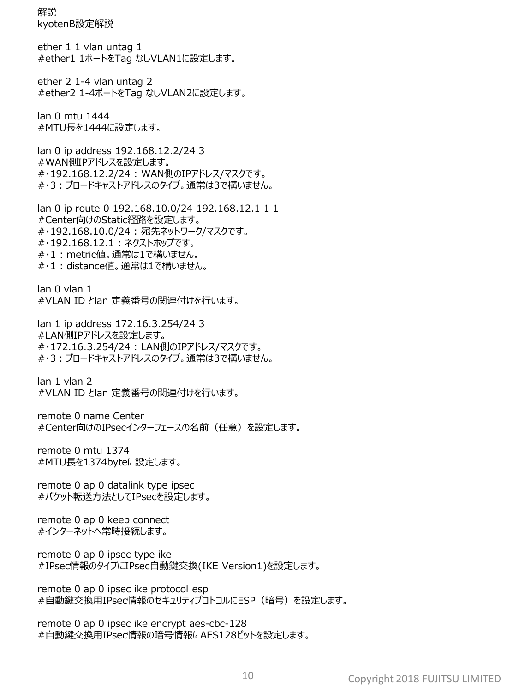解説 kyotenB設定解説

ether 1 1 vlan untag 1 #ether1 1ポートをTag なしVLAN1に設定します。

ether 2 1-4 vlan untag 2 #ether2 1-4ポートをTag なしVLAN2に設定します。

lan 0 mtu 1444 #MTU長を1444に設定します。

lan 0 ip address 192.168.12.2/24 3 #WAN側IPアドレスを設定します。 #・192.168.12.2/24 : WAN側のIPアドレス/マスクです。 #・3:ブロードキャストアドレスのタイプ。通常は3で構いません。

lan 0 ip route 0 192.168.10.0/24 192.168.12.1 1 1 #Center向けのStatic経路を設定します。 #・192.168.10.0/24 : 宛先ネットワーク/マスクです。 #・192.168.12.1 : ネクストホップです。 #・1 : metric値。通常は1で構いません。 #・1 : distance値。通常は1で構いません。

lan 0 vlan 1 #VLAN ID とlan 定義番号の関連付けを行います。

lan 1 ip address 172.16.3.254/24 3 #LAN側IPアドレスを設定します。 #・172.16.3.254/24 : LAN側のIPアドレス/マスクです。 #・3:ブロードキャストアドレスのタイプ。通常は3で構いません。

lan 1 vlan 2 #VLAN ID とlan 定義番号の関連付けを行います。

remote 0 name Center #Center向けのIPsecインターフェースの名前 (任意) を設定します。

remote 0 mtu 1374 #MTU長を1374byteに設定します。

remote 0 ap 0 datalink type ipsec #パケット転送方法としてIPsecを設定します。

remote 0 ap 0 keep connect #インターネットへ常時接続します。

remote 0 ap 0 ipsec type ike #IPsec情報のタイプにIPsec自動鍵交換(IKE Version1)を設定します。

remote 0 ap 0 ipsec ike protocol esp #自動鍵交換用IPsec情報のセキュリティプロトコルにESP(暗号)を設定します。

remote 0 ap 0 ipsec ike encrypt aes-cbc-128 #自動鍵交換用IPsec情報の暗号情報にAES128ビットを設定します。